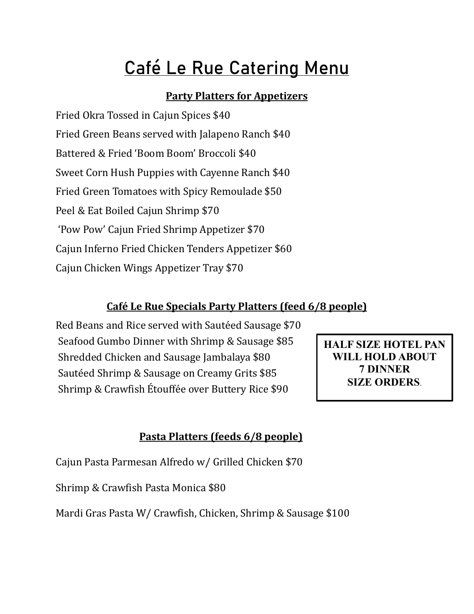# Café Le Rue Catering Menu

#### **Party Platters for Appetizers**

Fried Okra Tossed in Cajun Spices \$40 Fried Green Beans served with Jalapeno Ranch \$40 Battered & Fried 'Boom Boom' Broccoli \$40 Sweet Corn Hush Puppies with Cayenne Ranch \$40 Fried Green Tomatoes with Spicy Remoulade \$50 Peel & Eat Boiled Cajun Shrimp \$70 'Pow Pow' Cajun Fried Shrimp Appetizer \$70 Cajun Inferno Fried Chicken Tenders Appetizer \$60 Cajun Chicken Wings Appetizer Tray \$70

#### **Café Le Rue Specials Party Platters (feed 6/8 people)**

Red Beans and Rice served with Sautéed Sausage \$70 Seafood Gumbo Dinner with Shrimp & Sausage \$85 Shredded Chicken and Sausage Jambalaya \$80 Sautéed Shrimp & Sausage on Creamy Grits \$85 Shrimp & Crawfish Étouffée over Buttery Rice \$90

**HALF SIZE HOTEL PAN WILL HOLD ABOUT 7 DINNER SIZE ORDERS**.

#### **Pasta Platters (feeds 6/8 people)**

Cajun Pasta Parmesan Alfredo w/ Grilled Chicken \$70

Shrimp & Crawfish Pasta Monica \$80

Mardi Gras Pasta W/ Crawfish, Chicken, Shrimp & Sausage \$100